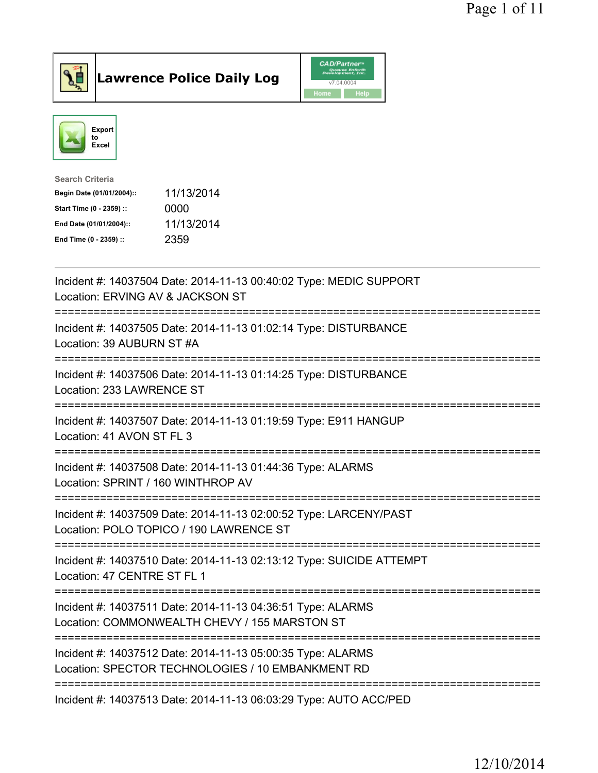



| <b>Search Criteria</b>    |            |
|---------------------------|------------|
| Begin Date (01/01/2004):: | 11/13/2014 |
| Start Time (0 - 2359) ::  | 0000       |
| End Date (01/01/2004)::   | 11/13/2014 |
| End Time (0 - 2359) ::    | 2359       |
|                           |            |

| Incident #: 14037504 Date: 2014-11-13 00:40:02 Type: MEDIC SUPPORT<br>Location: ERVING AV & JACKSON ST                                                                 |
|------------------------------------------------------------------------------------------------------------------------------------------------------------------------|
| Incident #: 14037505 Date: 2014-11-13 01:02:14 Type: DISTURBANCE<br>Location: 39 AUBURN ST #A                                                                          |
| Incident #: 14037506 Date: 2014-11-13 01:14:25 Type: DISTURBANCE<br>Location: 233 LAWRENCE ST                                                                          |
| Incident #: 14037507 Date: 2014-11-13 01:19:59 Type: E911 HANGUP<br>Location: 41 AVON ST FL 3<br>:====================                                                 |
| Incident #: 14037508 Date: 2014-11-13 01:44:36 Type: ALARMS<br>Location: SPRINT / 160 WINTHROP AV<br>================================<br>============================= |
| Incident #: 14037509 Date: 2014-11-13 02:00:52 Type: LARCENY/PAST<br>Location: POLO TOPICO / 190 LAWRENCE ST<br>-=================================                     |
| Incident #: 14037510 Date: 2014-11-13 02:13:12 Type: SUICIDE ATTEMPT<br>Location: 47 CENTRE ST FL 1                                                                    |
| Incident #: 14037511 Date: 2014-11-13 04:36:51 Type: ALARMS<br>Location: COMMONWEALTH CHEVY / 155 MARSTON ST<br>===============                                        |
| Incident #: 14037512 Date: 2014-11-13 05:00:35 Type: ALARMS<br>Location: SPECTOR TECHNOLOGIES / 10 EMBANKMENT RD                                                       |
| Incident #: 14037513 Date: 2014-11-13 06:03:29 Type: AUTO ACC/PED                                                                                                      |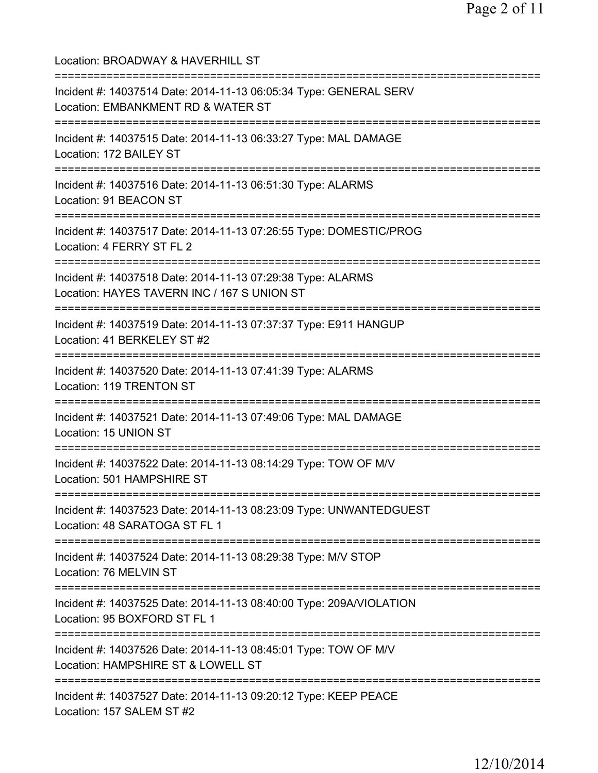Location: BROADWAY & HAVERHILL ST =========================================================================== Incident #: 14037514 Date: 2014-11-13 06:05:34 Type: GENERAL SERV Location: EMBANKMENT RD & WATER ST =========================================================================== Incident #: 14037515 Date: 2014-11-13 06:33:27 Type: MAL DAMAGE Location: 172 BAILEY ST =========================================================================== Incident #: 14037516 Date: 2014-11-13 06:51:30 Type: ALARMS Location: 91 BEACON ST =========================================================================== Incident #: 14037517 Date: 2014-11-13 07:26:55 Type: DOMESTIC/PROG Location: 4 FERRY ST FL 2 =========================================================================== Incident #: 14037518 Date: 2014-11-13 07:29:38 Type: ALARMS Location: HAYES TAVERN INC / 167 S UNION ST =========================================================================== Incident #: 14037519 Date: 2014-11-13 07:37:37 Type: E911 HANGUP Location: 41 BERKELEY ST #2 =========================================================================== Incident #: 14037520 Date: 2014-11-13 07:41:39 Type: ALARMS Location: 119 TRENTON ST =========================================================================== Incident #: 14037521 Date: 2014-11-13 07:49:06 Type: MAL DAMAGE Location: 15 UNION ST =========================================================================== Incident #: 14037522 Date: 2014-11-13 08:14:29 Type: TOW OF M/V Location: 501 HAMPSHIRE ST =========================================================================== Incident #: 14037523 Date: 2014-11-13 08:23:09 Type: UNWANTEDGUEST Location: 48 SARATOGA ST FL 1 =========================================================================== Incident #: 14037524 Date: 2014-11-13 08:29:38 Type: M/V STOP Location: 76 MELVIN ST =========================================================================== Incident #: 14037525 Date: 2014-11-13 08:40:00 Type: 209A/VIOLATION Location: 95 BOXFORD ST FL 1 =========================================================================== Incident #: 14037526 Date: 2014-11-13 08:45:01 Type: TOW OF M/V Location: HAMPSHIRE ST & LOWELL ST =========================================================================== Incident #: 14037527 Date: 2014-11-13 09:20:12 Type: KEEP PEACE Location: 157 SALEM ST #2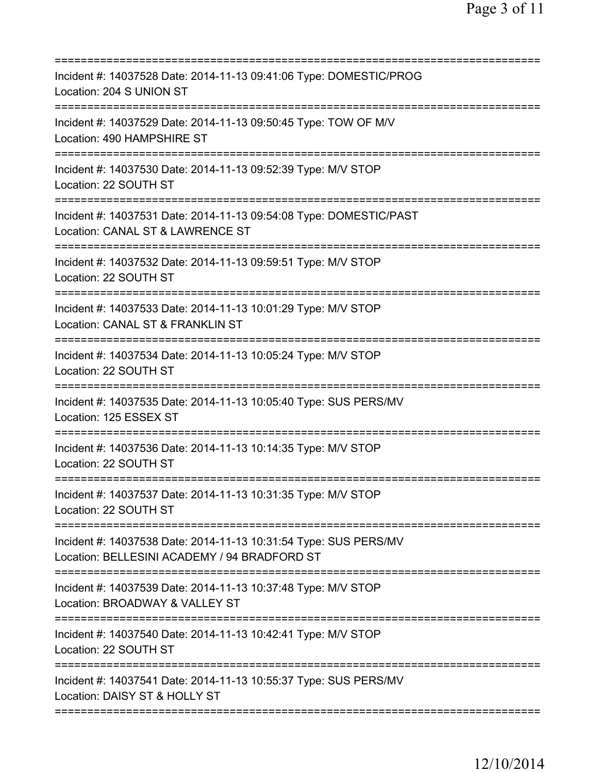| Incident #: 14037528 Date: 2014-11-13 09:41:06 Type: DOMESTIC/PROG<br>Location: 204 S UNION ST                                        |
|---------------------------------------------------------------------------------------------------------------------------------------|
| Incident #: 14037529 Date: 2014-11-13 09:50:45 Type: TOW OF M/V<br>Location: 490 HAMPSHIRE ST                                         |
| Incident #: 14037530 Date: 2014-11-13 09:52:39 Type: M/V STOP<br>Location: 22 SOUTH ST                                                |
| Incident #: 14037531 Date: 2014-11-13 09:54:08 Type: DOMESTIC/PAST<br>Location: CANAL ST & LAWRENCE ST<br>=========================== |
| Incident #: 14037532 Date: 2014-11-13 09:59:51 Type: M/V STOP<br>Location: 22 SOUTH ST                                                |
| Incident #: 14037533 Date: 2014-11-13 10:01:29 Type: M/V STOP<br>Location: CANAL ST & FRANKLIN ST                                     |
| Incident #: 14037534 Date: 2014-11-13 10:05:24 Type: M/V STOP<br>Location: 22 SOUTH ST                                                |
| Incident #: 14037535 Date: 2014-11-13 10:05:40 Type: SUS PERS/MV<br>Location: 125 ESSEX ST                                            |
| Incident #: 14037536 Date: 2014-11-13 10:14:35 Type: M/V STOP<br>Location: 22 SOUTH ST                                                |
| Incident #: 14037537 Date: 2014-11-13 10:31:35 Type: M/V STOP<br>Location: 22 SOUTH ST                                                |
| Incident #: 14037538 Date: 2014-11-13 10:31:54 Type: SUS PERS/MV<br>Location: BELLESINI ACADEMY / 94 BRADFORD ST                      |
| Incident #: 14037539 Date: 2014-11-13 10:37:48 Type: M/V STOP<br>Location: BROADWAY & VALLEY ST                                       |
| Incident #: 14037540 Date: 2014-11-13 10:42:41 Type: M/V STOP<br>Location: 22 SOUTH ST                                                |
| Incident #: 14037541 Date: 2014-11-13 10:55:37 Type: SUS PERS/MV<br>Location: DAISY ST & HOLLY ST                                     |
|                                                                                                                                       |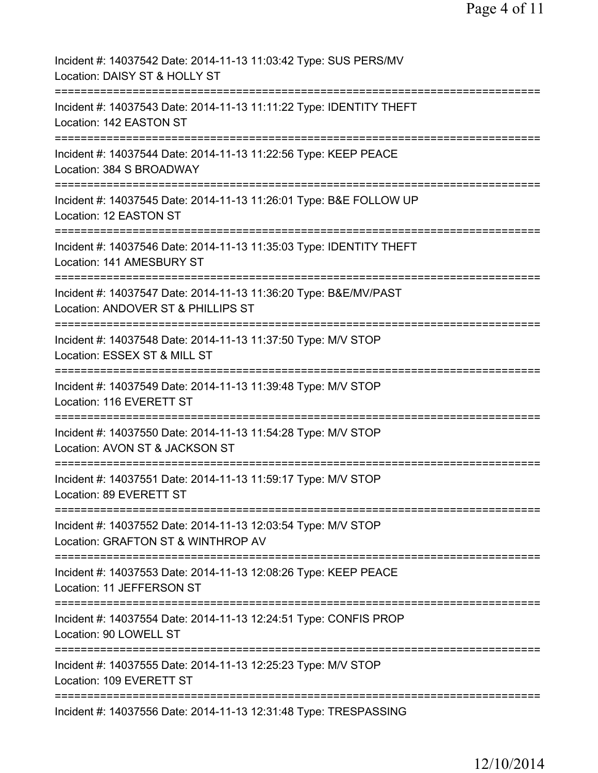| Incident #: 14037542 Date: 2014-11-13 11:03:42 Type: SUS PERS/MV<br>Location: DAISY ST & HOLLY ST                                                 |
|---------------------------------------------------------------------------------------------------------------------------------------------------|
| Incident #: 14037543 Date: 2014-11-13 11:11:22 Type: IDENTITY THEFT<br>Location: 142 EASTON ST                                                    |
| Incident #: 14037544 Date: 2014-11-13 11:22:56 Type: KEEP PEACE<br>Location: 384 S BROADWAY                                                       |
| Incident #: 14037545 Date: 2014-11-13 11:26:01 Type: B&E FOLLOW UP<br>Location: 12 EASTON ST                                                      |
| Incident #: 14037546 Date: 2014-11-13 11:35:03 Type: IDENTITY THEFT<br>Location: 141 AMESBURY ST                                                  |
| =====================================<br>Incident #: 14037547 Date: 2014-11-13 11:36:20 Type: B&E/MV/PAST<br>Location: ANDOVER ST & PHILLIPS ST   |
| :=============<br>:=============================<br>Incident #: 14037548 Date: 2014-11-13 11:37:50 Type: M/V STOP<br>Location: ESSEX ST & MILL ST |
| ====================================<br>Incident #: 14037549 Date: 2014-11-13 11:39:48 Type: M/V STOP<br>Location: 116 EVERETT ST                 |
| Incident #: 14037550 Date: 2014-11-13 11:54:28 Type: M/V STOP<br>Location: AVON ST & JACKSON ST                                                   |
| Incident #: 14037551 Date: 2014-11-13 11:59:17 Type: M/V STOP<br>Location: 89 EVERETT ST                                                          |
| Incident #: 14037552 Date: 2014-11-13 12:03:54 Type: M/V STOP<br>Location: GRAFTON ST & WINTHROP AV                                               |
| Incident #: 14037553 Date: 2014-11-13 12:08:26 Type: KEEP PEACE<br>Location: 11 JEFFERSON ST                                                      |
| Incident #: 14037554 Date: 2014-11-13 12:24:51 Type: CONFIS PROP<br>Location: 90 LOWELL ST                                                        |
| Incident #: 14037555 Date: 2014-11-13 12:25:23 Type: M/V STOP<br>Location: 109 EVERETT ST                                                         |
| Incident #: 14037556 Date: 2014-11-13 12:31:48 Type: TRESPASSING                                                                                  |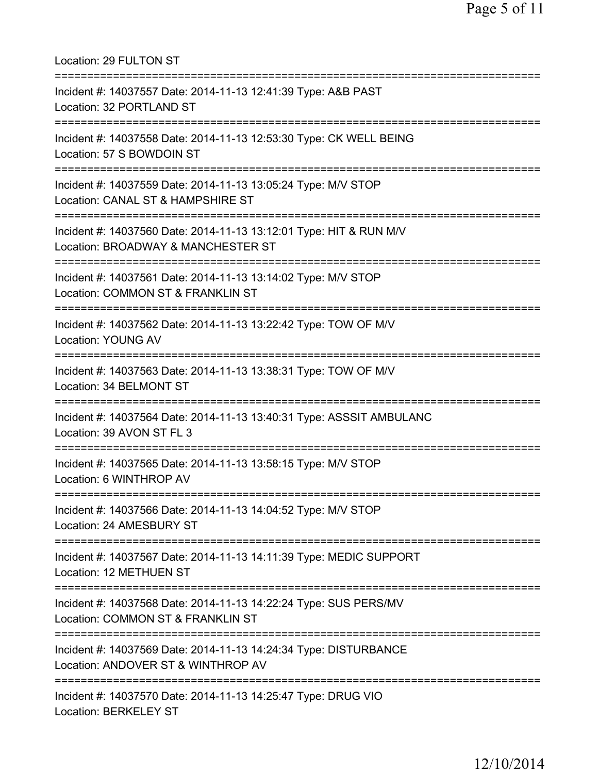Location: 29 FULTON ST =========================================================================== Incident #: 14037557 Date: 2014-11-13 12:41:39 Type: A&B PAST Location: 32 PORTLAND ST =========================================================================== Incident #: 14037558 Date: 2014-11-13 12:53:30 Type: CK WELL BEING Location: 57 S BOWDOIN ST =========================================================================== Incident #: 14037559 Date: 2014-11-13 13:05:24 Type: M/V STOP Location: CANAL ST & HAMPSHIRE ST =========================================================================== Incident #: 14037560 Date: 2014-11-13 13:12:01 Type: HIT & RUN M/V Location: BROADWAY & MANCHESTER ST =========================================================================== Incident #: 14037561 Date: 2014-11-13 13:14:02 Type: M/V STOP Location: COMMON ST & FRANKLIN ST =========================================================================== Incident #: 14037562 Date: 2014-11-13 13:22:42 Type: TOW OF M/V Location: YOUNG AV =========================================================================== Incident #: 14037563 Date: 2014-11-13 13:38:31 Type: TOW OF M/V Location: 34 BELMONT ST =========================================================================== Incident #: 14037564 Date: 2014-11-13 13:40:31 Type: ASSSIT AMBULANC Location: 39 AVON ST FL 3 =========================================================================== Incident #: 14037565 Date: 2014-11-13 13:58:15 Type: M/V STOP Location: 6 WINTHROP AV =========================================================================== Incident #: 14037566 Date: 2014-11-13 14:04:52 Type: M/V STOP Location: 24 AMESBURY ST =========================================================================== Incident #: 14037567 Date: 2014-11-13 14:11:39 Type: MEDIC SUPPORT Location: 12 METHUEN ST =========================================================================== Incident #: 14037568 Date: 2014-11-13 14:22:24 Type: SUS PERS/MV Location: COMMON ST & FRANKLIN ST =========================================================================== Incident #: 14037569 Date: 2014-11-13 14:24:34 Type: DISTURBANCE Location: ANDOVER ST & WINTHROP AV =========================================================================== Incident #: 14037570 Date: 2014-11-13 14:25:47 Type: DRUG VIO Location: BERKELEY ST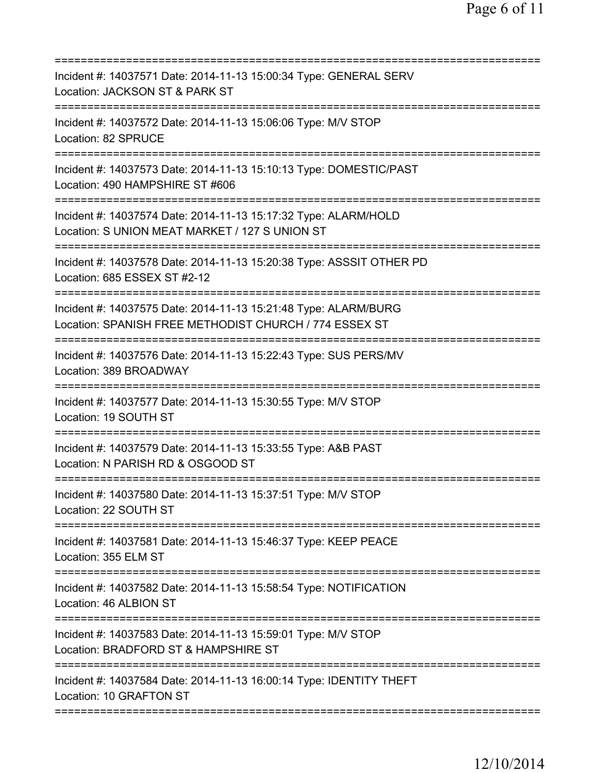| Incident #: 14037571 Date: 2014-11-13 15:00:34 Type: GENERAL SERV<br>Location: JACKSON ST & PARK ST                       |
|---------------------------------------------------------------------------------------------------------------------------|
| Incident #: 14037572 Date: 2014-11-13 15:06:06 Type: M/V STOP<br>Location: 82 SPRUCE                                      |
| Incident #: 14037573 Date: 2014-11-13 15:10:13 Type: DOMESTIC/PAST<br>Location: 490 HAMPSHIRE ST #606                     |
| Incident #: 14037574 Date: 2014-11-13 15:17:32 Type: ALARM/HOLD<br>Location: S UNION MEAT MARKET / 127 S UNION ST         |
| Incident #: 14037578 Date: 2014-11-13 15:20:38 Type: ASSSIT OTHER PD<br>Location: 685 ESSEX ST #2-12                      |
| Incident #: 14037575 Date: 2014-11-13 15:21:48 Type: ALARM/BURG<br>Location: SPANISH FREE METHODIST CHURCH / 774 ESSEX ST |
| Incident #: 14037576 Date: 2014-11-13 15:22:43 Type: SUS PERS/MV<br>Location: 389 BROADWAY                                |
| Incident #: 14037577 Date: 2014-11-13 15:30:55 Type: M/V STOP<br>Location: 19 SOUTH ST<br>=========================       |
| Incident #: 14037579 Date: 2014-11-13 15:33:55 Type: A&B PAST<br>Location: N PARISH RD & OSGOOD ST                        |
| Incident #: 14037580 Date: 2014-11-13 15:37:51 Type: M/V STOP<br>Location: 22 SOUTH ST                                    |
| Incident #: 14037581 Date: 2014-11-13 15:46:37 Type: KEEP PEACE<br>Location: 355 ELM ST                                   |
| Incident #: 14037582 Date: 2014-11-13 15:58:54 Type: NOTIFICATION<br>Location: 46 ALBION ST                               |
| Incident #: 14037583 Date: 2014-11-13 15:59:01 Type: M/V STOP<br>Location: BRADFORD ST & HAMPSHIRE ST                     |
| Incident #: 14037584 Date: 2014-11-13 16:00:14 Type: IDENTITY THEFT<br>Location: 10 GRAFTON ST                            |
|                                                                                                                           |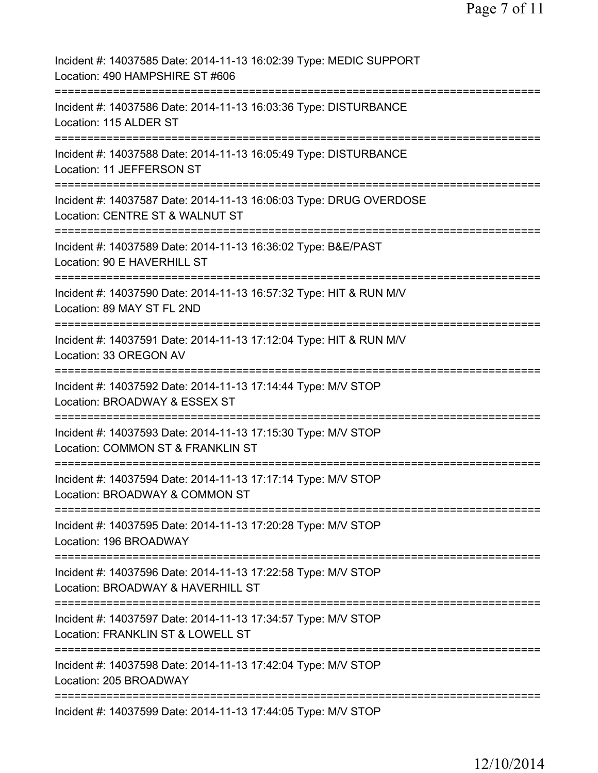| Incident #: 14037585 Date: 2014-11-13 16:02:39 Type: MEDIC SUPPORT<br>Location: 490 HAMPSHIRE ST #606                                   |
|-----------------------------------------------------------------------------------------------------------------------------------------|
| Incident #: 14037586 Date: 2014-11-13 16:03:36 Type: DISTURBANCE<br>Location: 115 ALDER ST                                              |
| Incident #: 14037588 Date: 2014-11-13 16:05:49 Type: DISTURBANCE<br>Location: 11 JEFFERSON ST                                           |
| Incident #: 14037587 Date: 2014-11-13 16:06:03 Type: DRUG OVERDOSE<br>Location: CENTRE ST & WALNUT ST                                   |
| Incident #: 14037589 Date: 2014-11-13 16:36:02 Type: B&E/PAST<br>Location: 90 E HAVERHILL ST                                            |
| Incident #: 14037590 Date: 2014-11-13 16:57:32 Type: HIT & RUN M/V<br>Location: 89 MAY ST FL 2ND<br>;================================== |
| Incident #: 14037591 Date: 2014-11-13 17:12:04 Type: HIT & RUN M/V<br>Location: 33 OREGON AV                                            |
| Incident #: 14037592 Date: 2014-11-13 17:14:44 Type: M/V STOP<br>Location: BROADWAY & ESSEX ST                                          |
| Incident #: 14037593 Date: 2014-11-13 17:15:30 Type: M/V STOP<br>Location: COMMON ST & FRANKLIN ST<br>==========                        |
| Incident #: 14037594 Date: 2014-11-13 17:17:14 Type: M/V STOP<br>Location: BROADWAY & COMMON ST                                         |
| Incident #: 14037595 Date: 2014-11-13 17:20:28 Type: M/V STOP<br>Location: 196 BROADWAY                                                 |
| Incident #: 14037596 Date: 2014-11-13 17:22:58 Type: M/V STOP<br>Location: BROADWAY & HAVERHILL ST                                      |
| Incident #: 14037597 Date: 2014-11-13 17:34:57 Type: M/V STOP<br>Location: FRANKLIN ST & LOWELL ST                                      |
| Incident #: 14037598 Date: 2014-11-13 17:42:04 Type: M/V STOP<br>Location: 205 BROADWAY                                                 |
| Incident #: 14037599 Date: 2014-11-13 17:44:05 Type: M/V STOP                                                                           |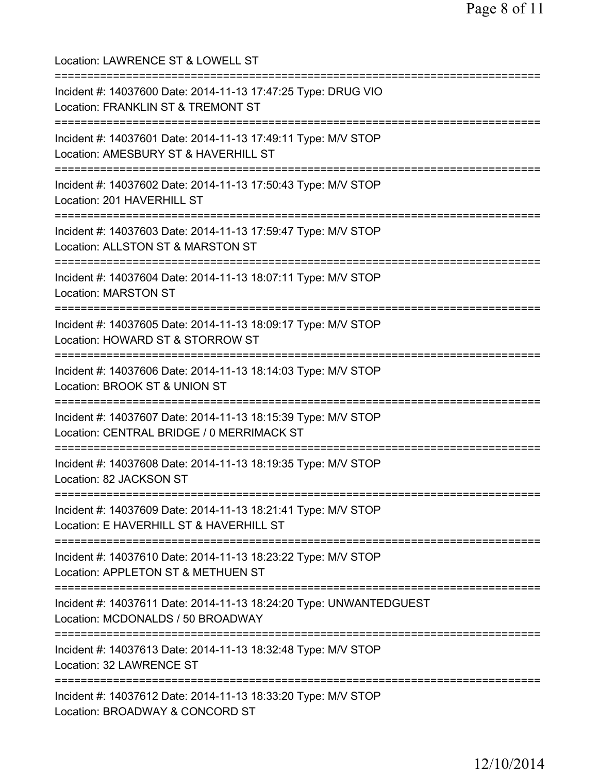| Location: LAWRENCE ST & LOWELL ST                                                                                                                  |
|----------------------------------------------------------------------------------------------------------------------------------------------------|
| Incident #: 14037600 Date: 2014-11-13 17:47:25 Type: DRUG VIO<br>Location: FRANKLIN ST & TREMONT ST                                                |
| Incident #: 14037601 Date: 2014-11-13 17:49:11 Type: M/V STOP<br>Location: AMESBURY ST & HAVERHILL ST                                              |
| Incident #: 14037602 Date: 2014-11-13 17:50:43 Type: M/V STOP<br>Location: 201 HAVERHILL ST<br>=====================================               |
| Incident #: 14037603 Date: 2014-11-13 17:59:47 Type: M/V STOP<br>Location: ALLSTON ST & MARSTON ST                                                 |
| Incident #: 14037604 Date: 2014-11-13 18:07:11 Type: M/V STOP<br><b>Location: MARSTON ST</b>                                                       |
| Incident #: 14037605 Date: 2014-11-13 18:09:17 Type: M/V STOP<br>Location: HOWARD ST & STORROW ST                                                  |
| Incident #: 14037606 Date: 2014-11-13 18:14:03 Type: M/V STOP<br>Location: BROOK ST & UNION ST<br>========================                         |
| Incident #: 14037607 Date: 2014-11-13 18:15:39 Type: M/V STOP<br>Location: CENTRAL BRIDGE / 0 MERRIMACK ST<br>.----------------------------------- |
| Incident #: 14037608 Date: 2014-11-13 18:19:35 Type: M/V STOP<br>Location: 82 JACKSON ST                                                           |
| Incident #: 14037609 Date: 2014-11-13 18:21:41 Type: M/V STOP<br>Location: E HAVERHILL ST & HAVERHILL ST                                           |
| Incident #: 14037610 Date: 2014-11-13 18:23:22 Type: M/V STOP<br>Location: APPLETON ST & METHUEN ST                                                |
| Incident #: 14037611 Date: 2014-11-13 18:24:20 Type: UNWANTEDGUEST<br>Location: MCDONALDS / 50 BROADWAY                                            |
| Incident #: 14037613 Date: 2014-11-13 18:32:48 Type: M/V STOP<br>Location: 32 LAWRENCE ST                                                          |
| Incident #: 14037612 Date: 2014-11-13 18:33:20 Type: M/V STOP<br>Location: BROADWAY & CONCORD ST                                                   |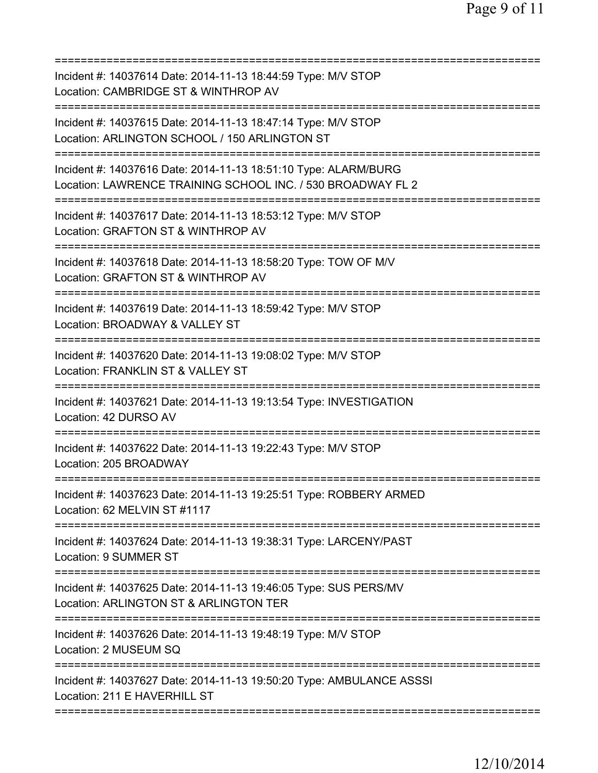| Incident #: 14037614 Date: 2014-11-13 18:44:59 Type: M/V STOP<br>Location: CAMBRIDGE ST & WINTHROP AV<br>======================                 |
|-------------------------------------------------------------------------------------------------------------------------------------------------|
| Incident #: 14037615 Date: 2014-11-13 18:47:14 Type: M/V STOP<br>Location: ARLINGTON SCHOOL / 150 ARLINGTON ST                                  |
| Incident #: 14037616 Date: 2014-11-13 18:51:10 Type: ALARM/BURG<br>Location: LAWRENCE TRAINING SCHOOL INC. / 530 BROADWAY FL 2                  |
| Incident #: 14037617 Date: 2014-11-13 18:53:12 Type: M/V STOP<br>Location: GRAFTON ST & WINTHROP AV                                             |
| Incident #: 14037618 Date: 2014-11-13 18:58:20 Type: TOW OF M/V<br>Location: GRAFTON ST & WINTHROP AV                                           |
| Incident #: 14037619 Date: 2014-11-13 18:59:42 Type: M/V STOP<br>Location: BROADWAY & VALLEY ST                                                 |
| Incident #: 14037620 Date: 2014-11-13 19:08:02 Type: M/V STOP<br>Location: FRANKLIN ST & VALLEY ST<br>===========================<br>========== |
| Incident #: 14037621 Date: 2014-11-13 19:13:54 Type: INVESTIGATION<br>Location: 42 DURSO AV                                                     |
| Incident #: 14037622 Date: 2014-11-13 19:22:43 Type: M/V STOP<br>Location: 205 BROADWAY                                                         |
| Incident #: 14037623 Date: 2014-11-13 19:25:51 Type: ROBBERY ARMED<br>Location: 62 MELVIN ST #1117                                              |
| Incident #: 14037624 Date: 2014-11-13 19:38:31 Type: LARCENY/PAST<br><b>Location: 9 SUMMER ST</b>                                               |
| Incident #: 14037625 Date: 2014-11-13 19:46:05 Type: SUS PERS/MV<br>Location: ARLINGTON ST & ARLINGTON TER                                      |
| Incident #: 14037626 Date: 2014-11-13 19:48:19 Type: M/V STOP<br>Location: 2 MUSEUM SQ                                                          |
| Incident #: 14037627 Date: 2014-11-13 19:50:20 Type: AMBULANCE ASSSI<br>Location: 211 E HAVERHILL ST                                            |
|                                                                                                                                                 |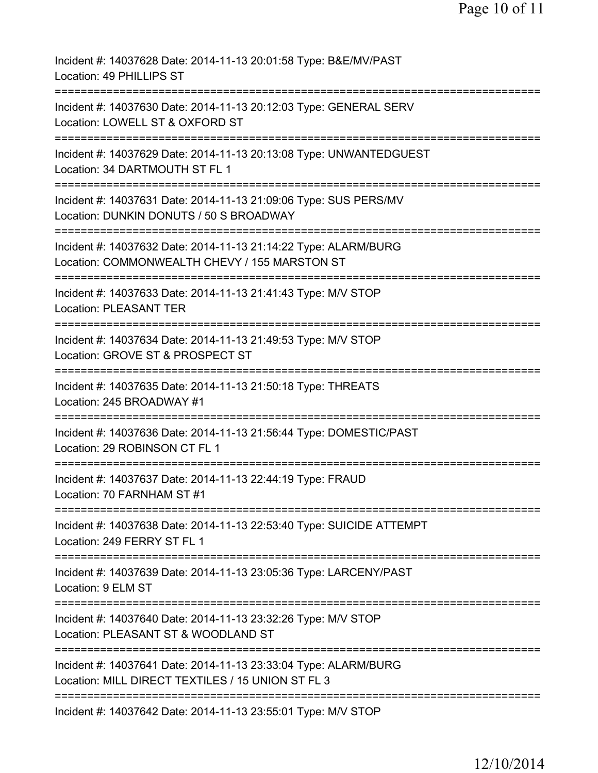| Incident #: 14037628 Date: 2014-11-13 20:01:58 Type: B&E/MV/PAST<br>Location: 49 PHILLIPS ST                                                  |
|-----------------------------------------------------------------------------------------------------------------------------------------------|
| Incident #: 14037630 Date: 2014-11-13 20:12:03 Type: GENERAL SERV<br>Location: LOWELL ST & OXFORD ST                                          |
| Incident #: 14037629 Date: 2014-11-13 20:13:08 Type: UNWANTEDGUEST<br>Location: 34 DARTMOUTH ST FL 1                                          |
| Incident #: 14037631 Date: 2014-11-13 21:09:06 Type: SUS PERS/MV<br>Location: DUNKIN DONUTS / 50 S BROADWAY                                   |
| Incident #: 14037632 Date: 2014-11-13 21:14:22 Type: ALARM/BURG<br>Location: COMMONWEALTH CHEVY / 155 MARSTON ST                              |
| Incident #: 14037633 Date: 2014-11-13 21:41:43 Type: M/V STOP<br><b>Location: PLEASANT TER</b>                                                |
| ---------------------<br>Incident #: 14037634 Date: 2014-11-13 21:49:53 Type: M/V STOP<br>Location: GROVE ST & PROSPECT ST                    |
| Incident #: 14037635 Date: 2014-11-13 21:50:18 Type: THREATS<br>Location: 245 BROADWAY #1                                                     |
| Incident #: 14037636 Date: 2014-11-13 21:56:44 Type: DOMESTIC/PAST<br>Location: 29 ROBINSON CT FL 1                                           |
| Incident #: 14037637 Date: 2014-11-13 22:44:19 Type: FRAUD<br>Location: 70 FARNHAM ST #1                                                      |
| Incident #: 14037638 Date: 2014-11-13 22:53:40 Type: SUICIDE ATTEMPT<br>Location: 249 FERRY ST FL 1                                           |
| Incident #: 14037639 Date: 2014-11-13 23:05:36 Type: LARCENY/PAST<br>Location: 9 ELM ST                                                       |
| =====================================<br>Incident #: 14037640 Date: 2014-11-13 23:32:26 Type: M/V STOP<br>Location: PLEASANT ST & WOODLAND ST |
| Incident #: 14037641 Date: 2014-11-13 23:33:04 Type: ALARM/BURG<br>Location: MILL DIRECT TEXTILES / 15 UNION ST FL 3                          |
| -----------------------------<br>Incident #: 14037642 Date: 2014-11-13 23:55:01 Type: M/V STOP                                                |